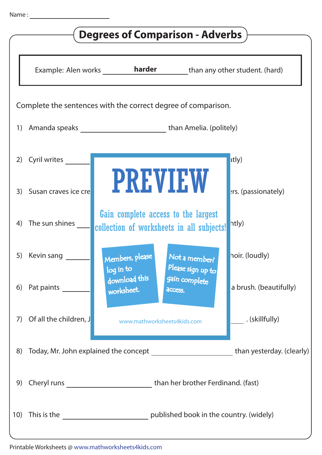| <b>Degrees of Comparison - Adverbs</b>                        |                                                                                              |                                                                                  |                        |  |
|---------------------------------------------------------------|----------------------------------------------------------------------------------------------|----------------------------------------------------------------------------------|------------------------|--|
|                                                               |                                                                                              | Example: Alen works <b>harder</b> than any other student. (hard)                 |                        |  |
| Complete the sentences with the correct degree of comparison. |                                                                                              |                                                                                  |                        |  |
| 1)                                                            | Amanda speaks ______________________________than Amelia. (politely)                          |                                                                                  |                        |  |
| 2)                                                            | Cyril writes                                                                                 |                                                                                  | atly)                  |  |
| 3)                                                            | Susan craves ice cre                                                                         | <b>PREVIEW</b>                                                                   | ers. (passionately)    |  |
| 4)                                                            | The sun shines                                                                               | Gain complete access to the largest<br>collection of worksheets in all subjects! | htly)                  |  |
| 5)                                                            | Kevin sang                                                                                   | Not a member?<br>Members, please<br>Please sign up to<br>log in to               | hoir. (loudly)         |  |
| 6)                                                            | Pat paints                                                                                   | download this<br>gain complete<br>worksheet.<br>access.                          | a brush. (beautifully) |  |
| 7)                                                            | Of all the children, J                                                                       | www.mathworksheets4kids.com                                                      | . (skillfully)         |  |
| 8)                                                            | Today, Mr. John explained the concept _____________________________than yesterday. (clearly) |                                                                                  |                        |  |
| 9)                                                            |                                                                                              | Cheryl runs _________________________________than her brother Ferdinand. (fast)  |                        |  |
| 10)                                                           |                                                                                              |                                                                                  |                        |  |